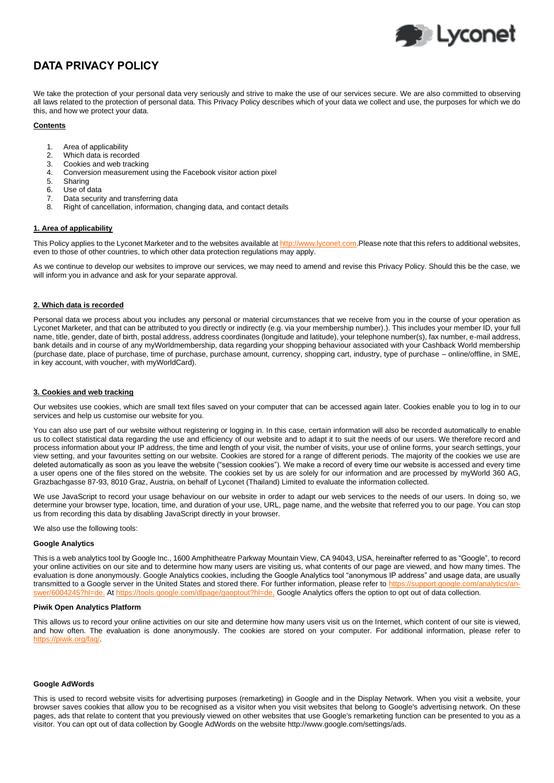

# **DATA PRIVACY POLICY**

We take the protection of your personal data very seriously and strive to make the use of our services secure. We are also committed to observing all laws related to the protection of personal data. This Privacy Policy describes which of your data we collect and use, the purposes for which we do this, and how we protect your data.

## **Contents**

- 1. Area of applicability
- 2. Which data is recorded
- 3. Cookies and web tracking<br>4. Conversion measurement
- 4. Conversion measurement using the Facebook visitor action pixel
- 5. Sharing
- 6. Use of data
- Data security and transferring data
- 8. Right of cancellation, information, changing data, and contact details

## **Area of applicability**

This Policy applies to the Lyconet Marketer and to the websites available a[t http://www.lyconet.com.](http://www.lyconet.com/)Please note that this refers to additional websites, even to those of other countries, to which other data protection regulations may apply.

As we continue to develop our websites to improve our services, we may need to amend and revise this Privacy Policy. Should this be the case, we will inform you in advance and ask for your separate approval.

## **2. Which data is recorded**

Personal data we process about you includes any personal or material circumstances that we receive from you in the course of your operation as Lyconet Marketer, and that can be attributed to you directly or indirectly (e.g. via your membership number).). This includes your member ID, your full name, title, gender, date of birth, postal address, address coordinates (longitude and latitude), your telephone number(s), fax number, e-mail address, bank details and in course of any myWorldmembership, data regarding your shopping behaviour associated with your Cashback World membership (purchase date, place of purchase, time of purchase, purchase amount, currency, shopping cart, industry, type of purchase – online/offline, in SME, in key account, with voucher, with myWorldCard).

## **3. Cookies and web tracking**

Our websites use cookies, which are small text files saved on your computer that can be accessed again later. Cookies enable you to log in to our services and help us customise our website for you.

You can also use part of our website without registering or logging in. In this case, certain information will also be recorded automatically to enable us to collect statistical data regarding the use and efficiency of our website and to adapt it to suit the needs of our users. We therefore record and process information about your IP address, the time and length of your visit, the number of visits, your use of online forms, your search settings, your view setting, and your favourites setting on our website. Cookies are stored for a range of different periods. The majority of the cookies we use are deleted automatically as soon as you leave the website ("session cookies"). We make a record of every time our website is accessed and every time a user opens one of the files stored on the website. The cookies set by us are solely for our information and are processed by myWorld 360 AG, Grazbachgasse 87-93, 8010 Graz, Austria, on behalf of Lyconet (Thailand) Limited to evaluate the information collected.

We use JavaScript to record your usage behaviour on our website in order to adapt our web services to the needs of our users. In doing so, we determine your browser type, location, time, and duration of your use, URL, page name, and the website that referred you to our page. You can stop us from recording this data by disabling JavaScript directly in your browser.

We also use the following tools:

## **Google Analytics**

This is a web analytics tool by Google Inc., 1600 Amphitheatre Parkway Mountain View, CA 94043, USA, hereinafter referred to as "Google", to record your online activities on our site and to determine how many users are visiting us, what contents of our page are viewed, and how many times. The evaluation is done anonymously. Google Analytics cookies, including the Google Analytics tool "anonymous IP address" and usage data, are usually transmitted to a Google server in the United States and stored there. For further information, please refer to http [swer/6004245?hl=de.](https://support.google.com/analytics/answer/6004245?hl=de) At https://tools.google.com/dlpage/gaoptout?hl=de. Google Analytics offers the option to opt out of data collection.

#### **Piwik Open Analytics Platform**

This allows us to record your online activities on our site and determine how many users visit us on the Internet, which content of our site is viewed, and how often. The evaluation is done anonymously. The cookies are stored on your computer. For additional information, please refer to [https://piwik.org/faq/.](https://piwik.org/faq/)

#### **Google AdWords**

This is used to record website visits for advertising purposes (remarketing) in Google and in the Display Network. When you visit a website, your browser saves cookies that allow you to be recognised as a visitor when you visit websites that belong to Google's advertising network. On these pages, ads that relate to content that you previously viewed on other websites that use Google's remarketing function can be presented to you as a visitor. You can opt out of data collection by Google AdWords on the website http://www.google.com/settings/ads.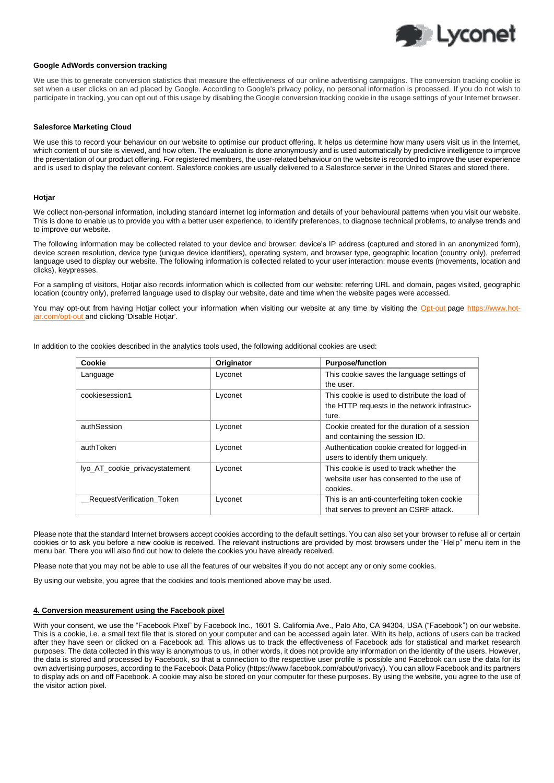

## **Google AdWords conversion tracking**

We use this to generate conversion statistics that measure the effectiveness of our online advertising campaigns. The conversion tracking cookie is set when a user clicks on an ad placed by Google. According to Google's privacy policy, no personal information is processed. If you do not wish to participate in tracking, you can opt out of this usage by disabling the Google conversion tracking cookie in the usage settings of your Internet browser.

#### **Salesforce Marketing Cloud**

We use this to record your behaviour on our website to optimise our product offering. It helps us determine how many users visit us in the Internet, which content of our site is viewed, and how often. The evaluation is done anonymously and is used automatically by predictive intelligence to improve the presentation of our product offering. For registered members, the user-related behaviour on the website is recorded to improve the user experience and is used to display the relevant content. Salesforce cookies are usually delivered to a Salesforce server in the United States and stored there.

#### **Hotjar**

We collect non-personal information, including standard internet log information and details of your behavioural patterns when you visit our website. This is done to enable us to provide you with a better user experience, to identify preferences, to diagnose technical problems, to analyse trends and to improve our website.

The following information may be collected related to your device and browser: device's IP address (captured and stored in an anonymized form), device screen resolution, device type (unique device identifiers), operating system, and browser type, geographic location (country only), preferred language used to display our website. The following information is collected related to your user interaction: mouse events (movements, location and clicks), keypresses.

For a sampling of visitors, Hotjar also records information which is collected from our website: referring URL and domain, pages visited, geographic location (country only), preferred language used to display our website, date and time when the website pages were accessed.

You may opt-out from having Hotjar collect your information when visiting our website at any time by visiting the [Opt-out](https://www.hotjar.com/opt-out) page https://www.hotjar.com/opt-out and clicking 'Disable Hotjar'.

In addition to the cookies described in the analytics tools used, the following additional cookies are used:

| Cookie                         | Originator | <b>Purpose/function</b>                       |
|--------------------------------|------------|-----------------------------------------------|
| Language                       | Lyconet    | This cookie saves the language settings of    |
|                                |            | the user.                                     |
| cookiesession1                 | Lyconet    | This cookie is used to distribute the load of |
|                                |            | the HTTP requests in the network infrastruc-  |
|                                |            | ture.                                         |
| authSession                    | Lyconet    | Cookie created for the duration of a session  |
|                                |            | and containing the session ID.                |
| authToken                      | Lyconet    | Authentication cookie created for logged-in   |
|                                |            | users to identify them uniquely.              |
| lyo_AT_cookie_privacystatement | Lyconet    | This cookie is used to track whether the      |
|                                |            | website user has consented to the use of      |
|                                |            | cookies.                                      |
| RequestVerification Token      | Lyconet    | This is an anti-counterfeiting token cookie   |
|                                |            | that serves to prevent an CSRF attack.        |

Please note that the standard Internet browsers accept cookies according to the default settings. You can also set your browser to refuse all or certain cookies or to ask you before a new cookie is received. The relevant instructions are provided by most browsers under the "Help" menu item in the menu bar. There you will also find out how to delete the cookies you have already received.

Please note that you may not be able to use all the features of our websites if you do not accept any or only some cookies.

By using our website, you agree that the cookies and tools mentioned above may be used.

#### **4. Conversion measurement using the Facebook pixel**

With your consent, we use the "Facebook Pixel" by Facebook Inc., 1601 S. California Ave., Palo Alto, CA 94304, USA ("Facebook") on our website. This is a cookie, i.e. a small text file that is stored on your computer and can be accessed again later. With its help, actions of users can be tracked after they have seen or clicked on a Facebook ad. This allows us to track the effectiveness of Facebook ads for statistical and market research purposes. The data collected in this way is anonymous to us, in other words, it does not provide any information on the identity of the users. However, the data is stored and processed by Facebook, so that a connection to the respective user profile is possible and Facebook can use the data for its own advertising purposes, according to the Facebook Data Policy (https://www.facebook.com/about/privacy). You can allow Facebook and its partners to display ads on and off Facebook. A cookie may also be stored on your computer for these purposes. By using the website, you agree to the use of the visitor action pixel.